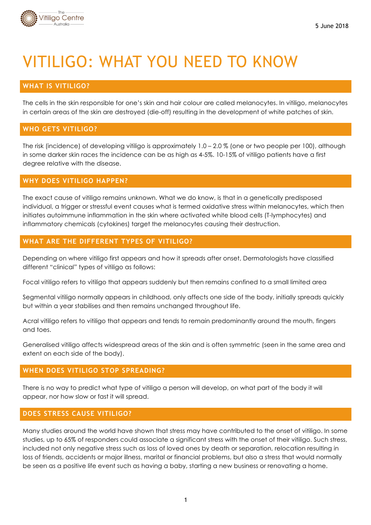

# VITILIGO: WHAT YOU NEED TO KNOW

# **WHAT IS VITILIGO?**

The cells in the skin responsible for one's skin and hair colour are called melanocytes. In vitiligo, melanocytes in certain areas of the skin are destroyed (die-off) resulting in the development of white patches of skin.

## **WHO GETS VITILIGO?**

The risk (incidence) of developing vitiligo is approximately 1.0 – 2.0 % (one or two people per 100), although in some darker skin races the incidence can be as high as 4-5%. 10-15% of vitiligo patients have a first degree relative with the disease.

## **WHY DOES VITILIGO HAPPEN?**

The exact cause of vitiligo remains unknown. What we do know, is that in a genetically predisposed individual, a trigger or stressful event causes what is termed oxidative stress within melanocytes, which then initiates autoimmune inflammation in the skin where activated white blood cells (T-lymphocytes) and inflammatory chemicals (cytokines) target the melanocytes causing their destruction.

## **WHAT ARE THE DIFFERENT TYPES OF VITILIGO?**

Depending on where vitiligo first appears and how it spreads after onset, Dermatologists have classified different "clinical" types of vitiligo as follows:

Focal vitiligo refers to vitiligo that appears suddenly but then remains confined to a small limited area

Segmental vitiligo normally appears in childhood, only affects one side of the body, initially spreads quickly but within a year stabilises and then remains unchanged throughout life.

Acral vitiligo refers to vitiligo that appears and tends to remain predominantly around the mouth, fingers and toes.

Generalised vitiligo affects widespread areas of the skin and is often symmetric (seen in the same area and extent on each side of the body).

## **WHEN DOES VITILIGO STOP SPREADING?**

There is no way to predict what type of vitiligo a person will develop, on what part of the body it will appear, nor how slow or fast it will spread.

### **DOES STRESS CAUSE VITILIGO?**

Many studies around the world have shown that stress may have contributed to the onset of vitiligo. In some studies, up to 65% of responders could associate a significant stress with the onset of their vitiligo. Such stress, included not only negative stress such as loss of loved ones by death or separation, relocation resulting in loss of friends, accidents or major illness, marital or financial problems, but also a stress that would normally be seen as a positive life event such as having a baby, starting a new business or renovating a home.